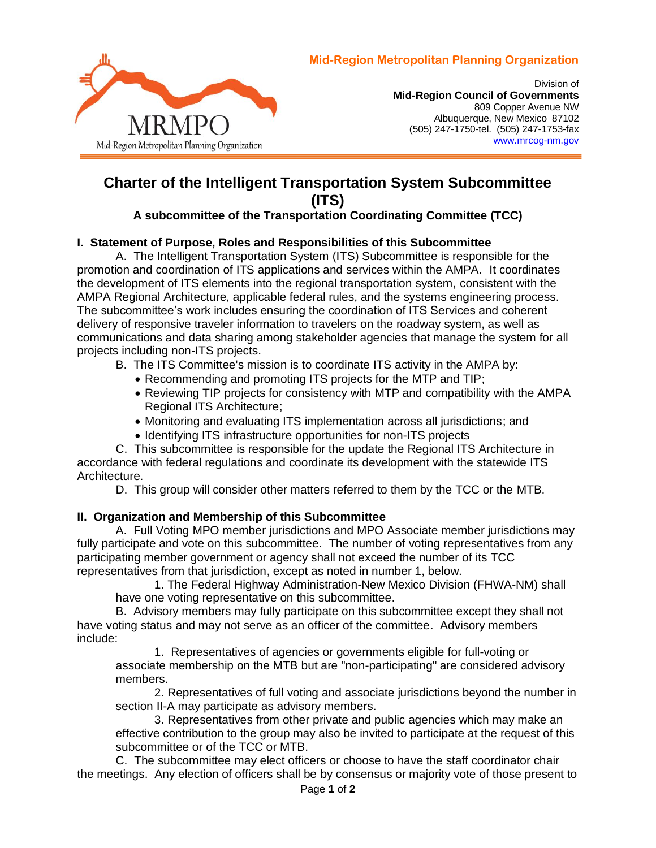

Division of **Mid-Region Council of Governments** 809 Copper Avenue NW Albuquerque, New Mexico 87102 (505) 247-1750-tel. (505) 247-1753-fax [www.mrcog-nm.gov](http://www.mrcog-nm.gov/)

# **Charter of the Intelligent Transportation System Subcommittee (ITS)**

## **A subcommittee of the Transportation Coordinating Committee (TCC)**

### **I. Statement of Purpose, Roles and Responsibilities of this Subcommittee**

A. The Intelligent Transportation System (ITS) Subcommittee is responsible for the promotion and coordination of ITS applications and services within the AMPA. It coordinates the development of ITS elements into the regional transportation system, consistent with the AMPA Regional Architecture, applicable federal rules, and the systems engineering process. The subcommittee's work includes ensuring the coordination of ITS Services and coherent delivery of responsive traveler information to travelers on the roadway system, as well as communications and data sharing among stakeholder agencies that manage the system for all projects including non-ITS projects.

- B. The ITS Committee's mission is to coordinate ITS activity in the AMPA by:
	- Recommending and promoting ITS projects for the MTP and TIP;
	- Reviewing TIP projects for consistency with MTP and compatibility with the AMPA Regional ITS Architecture;
	- Monitoring and evaluating ITS implementation across all jurisdictions; and
	- Identifying ITS infrastructure opportunities for non-ITS projects

C. This subcommittee is responsible for the update the Regional ITS Architecture in accordance with federal regulations and coordinate its development with the statewide ITS Architecture.

D. This group will consider other matters referred to them by the TCC or the MTB.

### **II. Organization and Membership of this Subcommittee**

A. Full Voting MPO member jurisdictions and MPO Associate member jurisdictions may fully participate and vote on this subcommittee. The number of voting representatives from any participating member government or agency shall not exceed the number of its TCC representatives from that jurisdiction, except as noted in number 1, below.

1. The Federal Highway Administration-New Mexico Division (FHWA-NM) shall have one voting representative on this subcommittee.

B. Advisory members may fully participate on this subcommittee except they shall not have voting status and may not serve as an officer of the committee. Advisory members include:

1. Representatives of agencies or governments eligible for full-voting or associate membership on the MTB but are "non-participating" are considered advisory members.

2. Representatives of full voting and associate jurisdictions beyond the number in section II-A may participate as advisory members.

3. Representatives from other private and public agencies which may make an effective contribution to the group may also be invited to participate at the request of this subcommittee or of the TCC or MTB.

C. The subcommittee may elect officers or choose to have the staff coordinator chair the meetings. Any election of officers shall be by consensus or majority vote of those present to